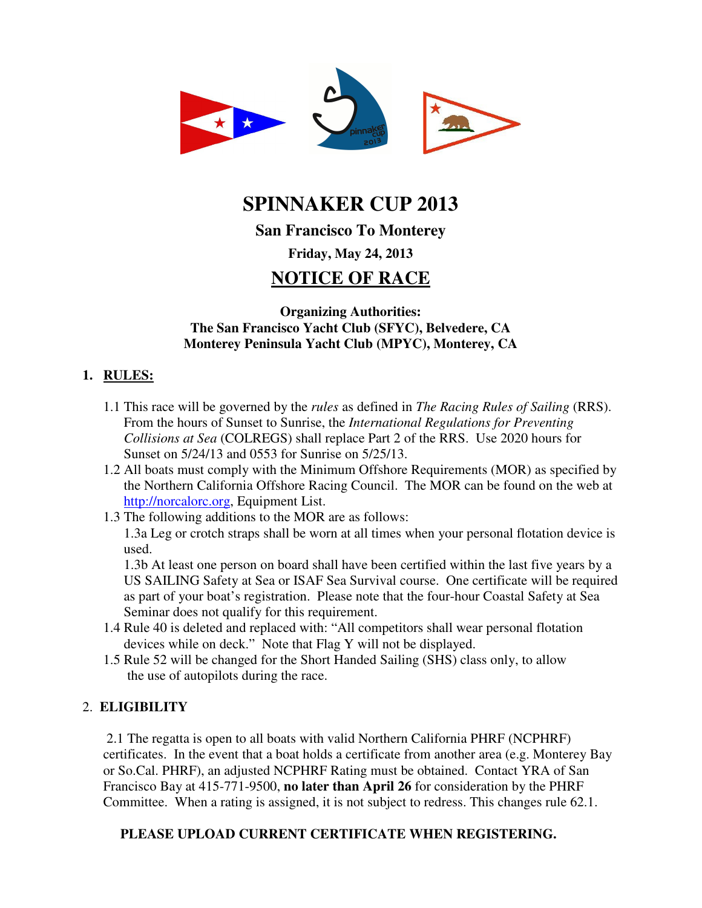

# **SPINNAKER CUP 2013**

## **San Francisco To Monterey**

## **Friday, May 24, 2013**

## **NOTICE OF RACE**

## **Organizing Authorities: The San Francisco Yacht Club (SFYC), Belvedere, CA Monterey Peninsula Yacht Club (MPYC), Monterey, CA**

## **1. RULES:**

- 1.1 This race will be governed by the *rules* as defined in *The Racing Rules of Sailing* (RRS). From the hours of Sunset to Sunrise, the *International Regulations for Preventing Collisions at Sea* (COLREGS) shall replace Part 2 of the RRS. Use 2020 hours for Sunset on 5/24/13 and 0553 for Sunrise on 5/25/13.
- 1.2 All boats must comply with the Minimum Offshore Requirements (MOR) as specified by the Northern California Offshore Racing Council. The MOR can be found on the web at http://norcalorc.org, Equipment List.
- 1.3 The following additions to the MOR are as follows:

1.3a Leg or crotch straps shall be worn at all times when your personal flotation device is used.

1.3b At least one person on board shall have been certified within the last five years by a US SAILING Safety at Sea or ISAF Sea Survival course. One certificate will be required as part of your boat's registration. Please note that the four-hour Coastal Safety at Sea Seminar does not qualify for this requirement.

- 1.4 Rule 40 is deleted and replaced with: "All competitors shall wear personal flotation devices while on deck." Note that Flag Y will not be displayed.
- 1.5 Rule 52 will be changed for the Short Handed Sailing (SHS) class only, to allow the use of autopilots during the race.

## 2. **ELIGIBILITY**

2.1 The regatta is open to all boats with valid Northern California PHRF (NCPHRF) certificates. In the event that a boat holds a certificate from another area (e.g. Monterey Bay or So.Cal. PHRF), an adjusted NCPHRF Rating must be obtained. Contact YRA of San Francisco Bay at 415-771-9500, **no later than April 26** for consideration by the PHRF Committee. When a rating is assigned, it is not subject to redress. This changes rule 62.1.

## **PLEASE UPLOAD CURRENT CERTIFICATE WHEN REGISTERING.**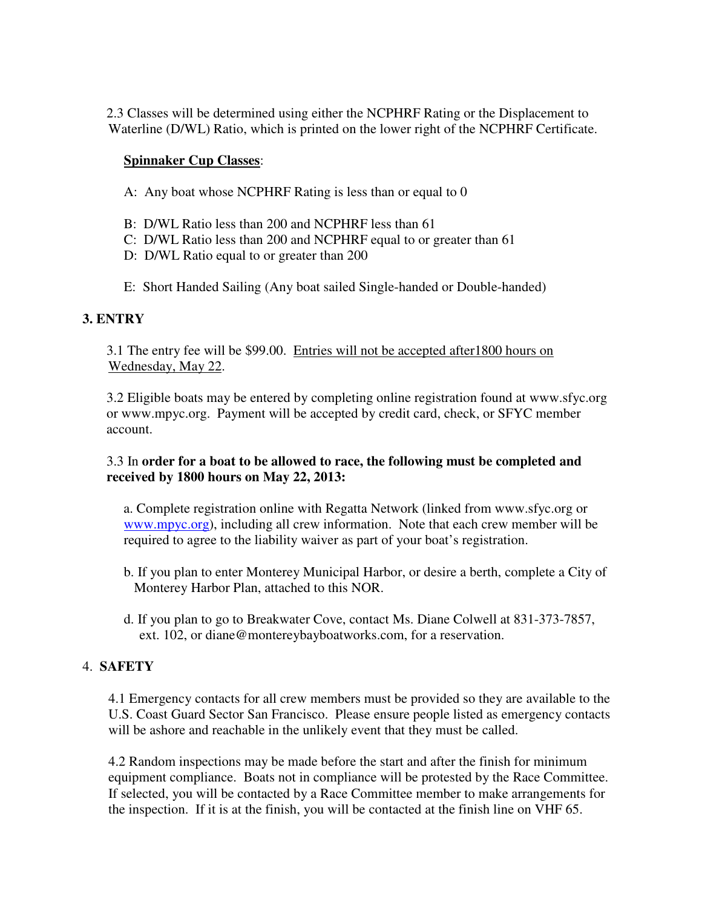2.3 Classes will be determined using either the NCPHRF Rating or the Displacement to Waterline (D/WL) Ratio, which is printed on the lower right of the NCPHRF Certificate.

#### **Spinnaker Cup Classes**:

- A: Any boat whose NCPHRF Rating is less than or equal to 0
- B: D/WL Ratio less than 200 and NCPHRF less than 61
- C: D/WL Ratio less than 200 and NCPHRF equal to or greater than 61
- D: D/WL Ratio equal to or greater than 200
- E: Short Handed Sailing (Any boat sailed Single-handed or Double-handed)

## **3. ENTRY**

3.1 The entry fee will be \$99.00. Entries will not be accepted after1800 hours on Wednesday, May 22.

3.2 Eligible boats may be entered by completing online registration found at www.sfyc.org or www.mpyc.org. Payment will be accepted by credit card, check, or SFYC member account.

#### 3.3 In **order for a boat to be allowed to race, the following must be completed and received by 1800 hours on May 22, 2013:**

 a. Complete registration online with Regatta Network (linked from www.sfyc.org or www.mpyc.org), including all crew information. Note that each crew member will be required to agree to the liability waiver as part of your boat's registration.

- b. If you plan to enter Monterey Municipal Harbor, or desire a berth, complete a City of Monterey Harbor Plan, attached to this NOR.
- d. If you plan to go to Breakwater Cove, contact Ms. Diane Colwell at 831-373-7857, ext. 102, or diane@montereybayboatworks.com, for a reservation.

## 4. **SAFETY**

4.1 Emergency contacts for all crew members must be provided so they are available to the U.S. Coast Guard Sector San Francisco. Please ensure people listed as emergency contacts will be ashore and reachable in the unlikely event that they must be called.

4.2 Random inspections may be made before the start and after the finish for minimum equipment compliance. Boats not in compliance will be protested by the Race Committee. If selected, you will be contacted by a Race Committee member to make arrangements for the inspection. If it is at the finish, you will be contacted at the finish line on VHF 65.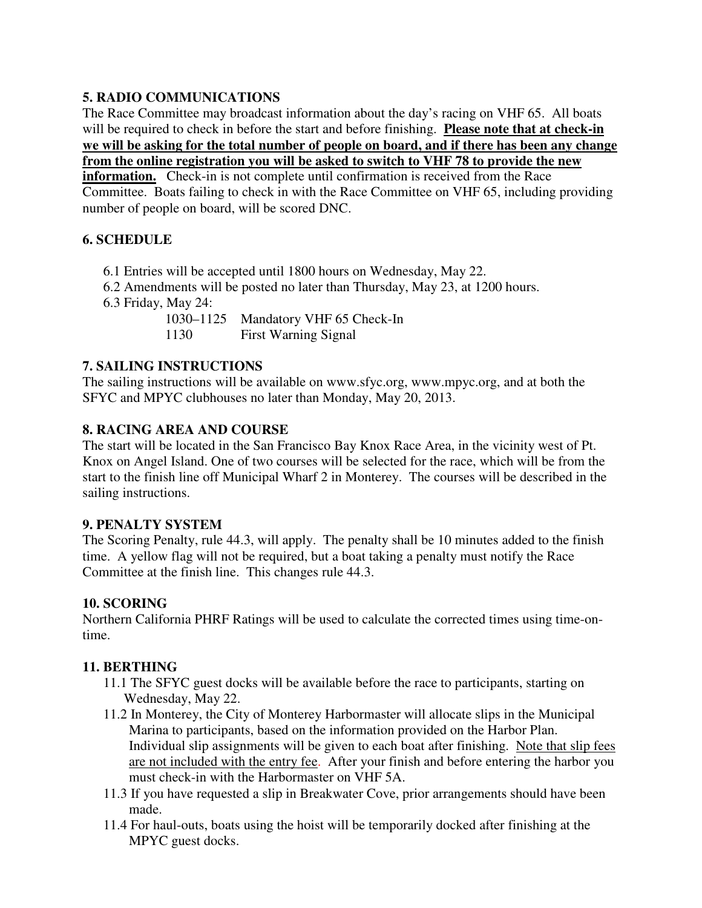## **5. RADIO COMMUNICATIONS**

The Race Committee may broadcast information about the day's racing on VHF 65. All boats will be required to check in before the start and before finishing. **Please note that at check-in we will be asking for the total number of people on board, and if there has been any change from the online registration you will be asked to switch to VHF 78 to provide the new** 

**information.** Check-in is not complete until confirmation is received from the Race Committee. Boats failing to check in with the Race Committee on VHF 65, including providing number of people on board, will be scored DNC.

## **6. SCHEDULE**

- 6.1 Entries will be accepted until 1800 hours on Wednesday, May 22.
- 6.2 Amendments will be posted no later than Thursday, May 23, at 1200 hours.
- 6.3 Friday, May 24:

1030–1125 Mandatory VHF 65 Check-In 1130 First Warning Signal

## **7. SAILING INSTRUCTIONS**

The sailing instructions will be available on www.sfyc.org, www.mpyc.org, and at both the SFYC and MPYC clubhouses no later than Monday, May 20, 2013.

## **8. RACING AREA AND COURSE**

The start will be located in the San Francisco Bay Knox Race Area, in the vicinity west of Pt. Knox on Angel Island. One of two courses will be selected for the race, which will be from the start to the finish line off Municipal Wharf 2 in Monterey. The courses will be described in the sailing instructions.

## **9. PENALTY SYSTEM**

The Scoring Penalty, rule 44.3, will apply. The penalty shall be 10 minutes added to the finish time. A yellow flag will not be required, but a boat taking a penalty must notify the Race Committee at the finish line. This changes rule 44.3.

## **10. SCORING**

Northern California PHRF Ratings will be used to calculate the corrected times using time-ontime.

## **11. BERTHING**

- 11.1 The SFYC guest docks will be available before the race to participants, starting on Wednesday, May 22.
- 11.2 In Monterey, the City of Monterey Harbormaster will allocate slips in the Municipal Marina to participants, based on the information provided on the Harbor Plan. Individual slip assignments will be given to each boat after finishing. Note that slip fees are not included with the entry fee. After your finish and before entering the harbor you must check-in with the Harbormaster on VHF 5A.
- 11.3 If you have requested a slip in Breakwater Cove, prior arrangements should have been made.
- 11.4 For haul-outs, boats using the hoist will be temporarily docked after finishing at the MPYC guest docks.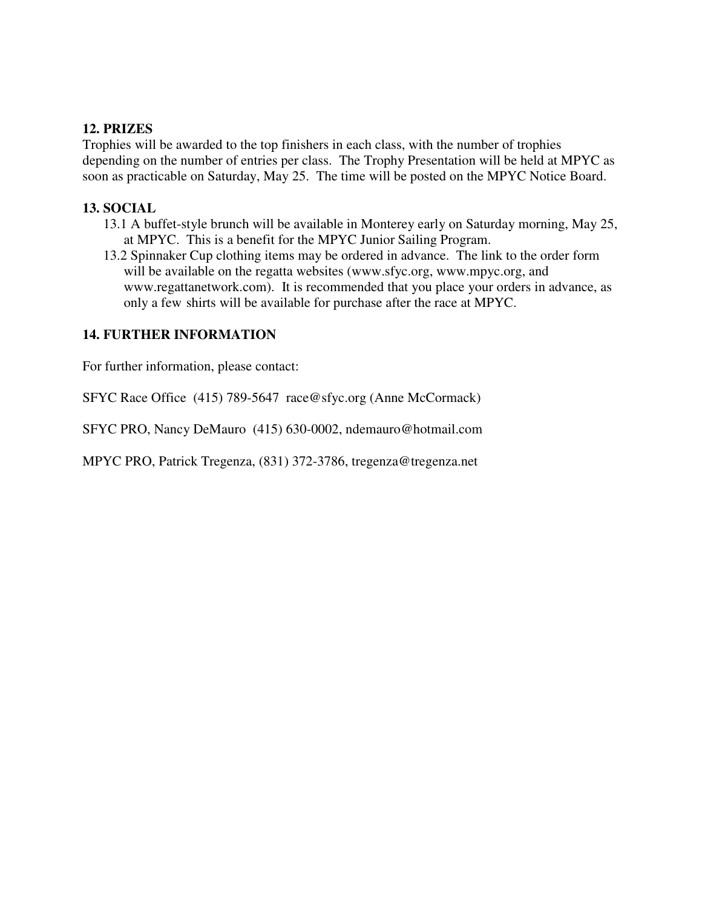#### **12. PRIZES**

Trophies will be awarded to the top finishers in each class, with the number of trophies depending on the number of entries per class. The Trophy Presentation will be held at MPYC as soon as practicable on Saturday, May 25. The time will be posted on the MPYC Notice Board.

#### **13. SOCIAL**

- 13.1 A buffet-style brunch will be available in Monterey early on Saturday morning, May 25, at MPYC. This is a benefit for the MPYC Junior Sailing Program.
- 13.2 Spinnaker Cup clothing items may be ordered in advance. The link to the order form will be available on the regatta websites (www.sfyc.org, www.mpyc.org, and www.regattanetwork.com). It is recommended that you place your orders in advance, as only a few shirts will be available for purchase after the race at MPYC.

#### **14. FURTHER INFORMATION**

For further information, please contact:

SFYC Race Office (415) 789-5647 race@sfyc.org (Anne McCormack)

SFYC PRO, Nancy DeMauro (415) 630-0002, ndemauro@hotmail.com

MPYC PRO, Patrick Tregenza, (831) 372-3786, tregenza@tregenza.net